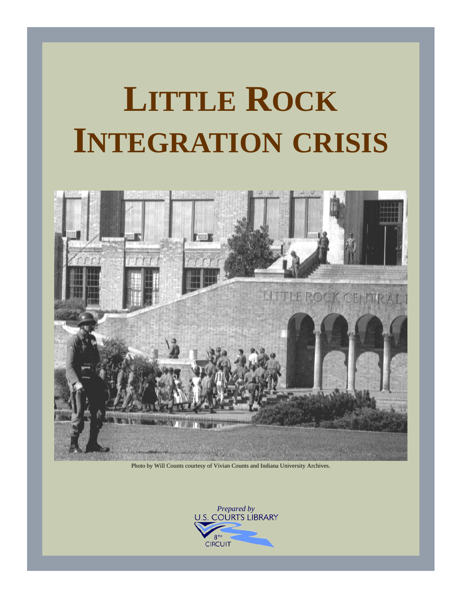# **LITTLE ROCK INTEGRATION CRISIS**



Photo by Will Counts courtesy of Vivian Counts and Indiana University Archives.

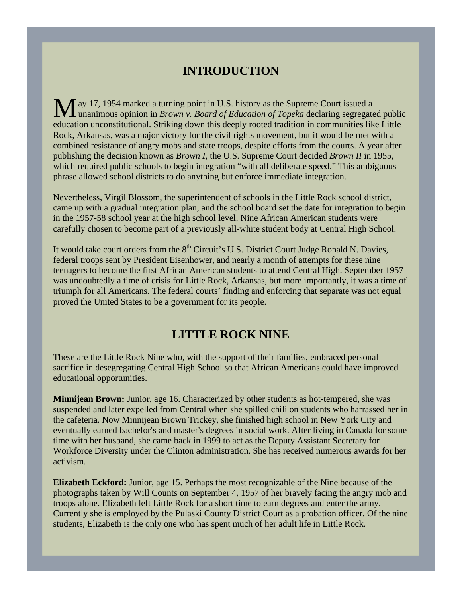# **INTRODUCTION**

M ay 17, 1954 marked a turning point in U.S. history as the Supreme Court issued a unanimous opinion in *Brown v. Board of Education of Topeka* declaring segregated public education unconstitutional. Striking down this deeply rooted tradition in communities like Little Rock, Arkansas, was a major victory for the civil rights movement, but it would be met with a combined resistance of angry mobs and state troops, despite efforts from the courts. A year after publishing the decision known as *Brown I*, the U.S. Supreme Court decided *Brown II* in 1955, which required public schools to begin integration "with all deliberate speed." This ambiguous phrase allowed school districts to do anything but enforce immediate integration.

Nevertheless, Virgil Blossom, the superintendent of schools in the Little Rock school district, came up with a gradual integration plan, and the school board set the date for integration to begin in the 1957-58 school year at the high school level. Nine African American students were carefully chosen to become part of a previously all-white student body at Central High School.

It would take court orders from the 8<sup>th</sup> Circuit's U.S. District Court Judge Ronald N. Davies, federal troops sent by President Eisenhower, and nearly a month of attempts for these nine teenagers to become the first African American students to attend Central High. September 1957 was undoubtedly a time of crisis for Little Rock, Arkansas, but more importantly, it was a time of triumph for all Americans. The federal courts' finding and enforcing that separate was not equal proved the United States to be a government for its people.

# **LITTLE ROCK NINE**

These are the Little Rock Nine who, with the support of their families, embraced personal sacrifice in desegregating Central High School so that African Americans could have improved educational opportunities.

**Minnijean Brown:** Junior, age 16. Characterized by other students as hot-tempered, she was suspended and later expelled from Central when she spilled chili on students who harrassed her in the cafeteria. Now Minnijean Brown Trickey, she finished high school in New York City and eventually earned bachelor's and master's degrees in social work. After living in Canada for some time with her husband, she came back in 1999 to act as the Deputy Assistant Secretary for Workforce Diversity under the Clinton administration. She has received numerous awards for her activism.

**Elizabeth Eckford:** Junior, age 15. Perhaps the most recognizable of the Nine because of the photographs taken by Will Counts on September 4, 1957 of her bravely facing the angry mob and troops alone. Elizabeth left Little Rock for a short time to earn degrees and enter the army. Currently she is employed by the Pulaski County District Court as a probation officer. Of the nine students, Elizabeth is the only one who has spent much of her adult life in Little Rock.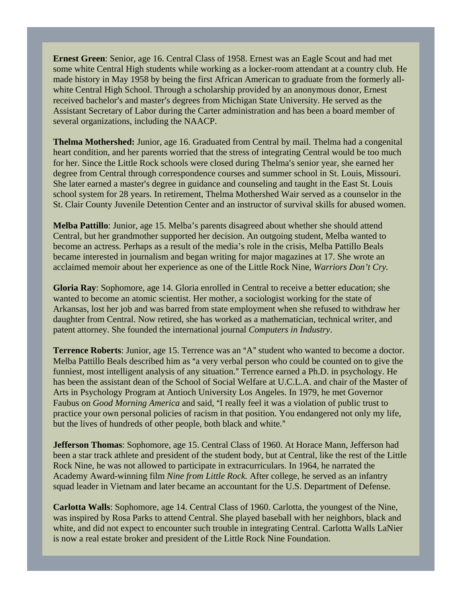**Ernest Green**: Senior, age 16. Central Class of 1958. Ernest was an Eagle Scout and had met some white Central High students while working as a locker-room attendant at a country club*.* He made history in May 1958 by being the first African American to graduate from the formerly allwhite Central High School. Through a scholarship provided by an anonymous donor, Ernest received bachelor's and master's degrees from Michigan State University. He served as the Assistant Secretary of Labor during the Carter administration and has been a board member of several organizations, including the NAACP.

**Thelma Mothershed:** Junior, age 16. Graduated from Central by mail. Thelma had a congenital heart condition, and her parents worried that the stress of integrating Central would be too much for her. Since the Little Rock schools were closed during Thelma's senior year, she earned her degree from Central through correspondence courses and summer school in St. Louis, Missouri. She later earned a master's degree in guidance and counseling and taught in the East St. Louis school system for 28 years. In retirement, Thelma Mothershed Wair served as a counselor in the St. Clair County Juvenile Detention Center and an instructor of survival skills for abused women.

**Melba Pattillo**: Junior, age 15. Melba's parents disagreed about whether she should attend Central, but her grandmother supported her decision. An outgoing student, Melba wanted to become an actress. Perhaps as a result of the media's role in the crisis, Melba Pattillo Beals became interested in journalism and began writing for major magazines at 17. She wrote an acclaimed memoir about her experience as one of the Little Rock Nine, *Warriors Don't Cry.* 

**Gloria Ray**: Sophomore, age 14. Gloria enrolled in Central to receive a better education; she wanted to become an atomic scientist. Her mother, a sociologist working for the state of Arkansas, lost her job and was barred from state employment when she refused to withdraw her daughter from Central. Now retired, she has worked as a mathematician, technical writer, and patent attorney. She founded the international journal *Computers in Industry*.

**Terrence Roberts**: Junior, age 15. Terrence was an "A" student who wanted to become a doctor. Melba Pattillo Beals described him as "a very verbal person who could be counted on to give the funniest, most intelligent analysis of any situation." Terrence earned a Ph.D. in psychology. He has been the assistant dean of the School of Social Welfare at U.C.L.A. and chair of the Master of Arts in Psychology Program at Antioch University Los Angeles. In 1979, he met Governor Faubus on *Good Morning America* and said, "I really feel it was a violation of public trust to practice your own personal policies of racism in that position. You endangered not only my life, but the lives of hundreds of other people, both black and white."

**Jefferson Thomas**: Sophomore, age 15. Central Class of 1960. At Horace Mann, Jefferson had been a star track athlete and president of the student body, but at Central, like the rest of the Little Rock Nine, he was not allowed to participate in extracurriculars. In 1964, he narrated the Academy Award-winning film *Nine from Little Rock.* After college, he served as an infantry squad leader in Vietnam and later became an accountant for the U.S. Department of Defense.

**Carlotta Walls**: Sophomore, age 14. Central Class of 1960. Carlotta, the youngest of the Nine, was inspired by Rosa Parks to attend Central. She played baseball with her neighbors, black and white, and did not expect to encounter such trouble in integrating Central. Carlotta Walls LaNier is now a real estate broker and president of the Little Rock Nine Foundation.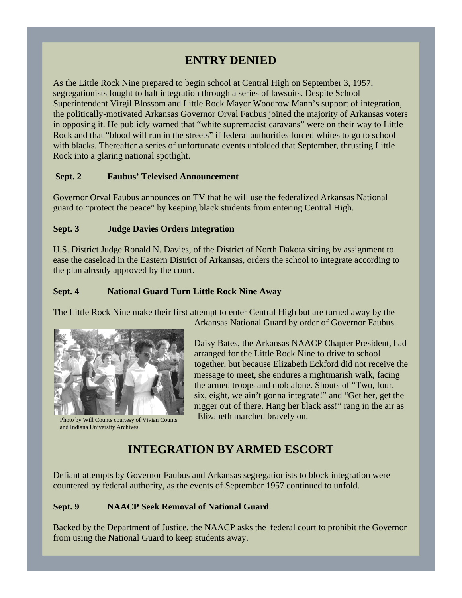# **ENTRY DENIED**

As the Little Rock Nine prepared to begin school at Central High on September 3, 1957, segregationists fought to halt integration through a series of lawsuits. Despite School Superintendent Virgil Blossom and Little Rock Mayor Woodrow Mann's support of integration, the politically-motivated Arkansas Governor Orval Faubus joined the majority of Arkansas voters in opposing it. He publicly warned that "white supremacist caravans" were on their way to Little Rock and that "blood will run in the streets" if federal authorities forced whites to go to school with blacks. Thereafter a series of unfortunate events unfolded that September, thrusting Little Rock into a glaring national spotlight.

## **Sept. 2 Faubus' Televised Announcement**

Governor Orval Faubus announces on TV that he will use the federalized Arkansas National guard to "protect the peace" by keeping black students from entering Central High.

## **Sept. 3 Judge Davies Orders Integration**

U.S. District Judge Ronald N. Davies, of the District of North Dakota sitting by assignment to ease the caseload in the Eastern District of Arkansas, orders the school to integrate according to the plan already approved by the court.

# **Sept. 4 National Guard Turn Little Rock Nine Away**

The Little Rock Nine make their first attempt to enter Central High but are turned away by the



Photo by Will Counts courtesy of Vivian Counts and Indiana University Archives.

Arkansas National Guard by order of Governor Faubus.

Daisy Bates, the Arkansas NAACP Chapter President, had arranged for the Little Rock Nine to drive to school together, but because Elizabeth Eckford did not receive the message to meet, she endures a nightmarish walk, facing the armed troops and mob alone. Shouts of "Two, four, six, eight, we ain't gonna integrate!" and "Get her, get the nigger out of there. Hang her black ass!" rang in the air as Elizabeth marched bravely on.

# **INTEGRATION BY ARMED ESCORT**

Defiant attempts by Governor Faubus and Arkansas segregationists to block integration were countered by federal authority, as the events of September 1957 continued to unfold.

# **Sept. 9 NAACP Seek Removal of National Guard**

Backed by the Department of Justice, the NAACP asks the federal court to prohibit the Governor from using the National Guard to keep students away.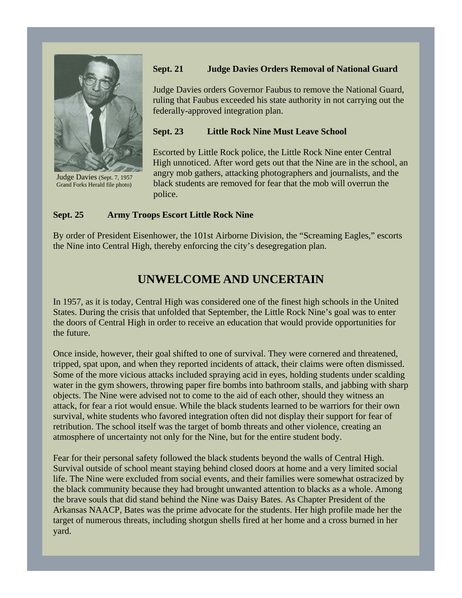

Judge Davies (Sept. 7, 1957 Grand Forks Herald file photo)

## **Sept. 21 Judge Davies Orders Removal of National Guard**

Judge Davies orders Governor Faubus to remove the National Guard, ruling that Faubus exceeded his state authority in not carrying out the federally-approved integration plan.

#### **Sept. 23 Little Rock Nine Must Leave School**

Escorted by Little Rock police, the Little Rock Nine enter Central High unnoticed. After word gets out that the Nine are in the school, an angry mob gathers, attacking photographers and journalists, and the black students are removed for fear that the mob will overrun the police.

## **Sept. 25 Army Troops Escort Little Rock Nine**

By order of President Eisenhower, the 101st Airborne Division, the "Screaming Eagles," escorts the Nine into Central High, thereby enforcing the city's desegregation plan.

# **UNWELCOME AND UNCERTAIN**

In 1957, as it is today, Central High was considered one of the finest high schools in the United States. During the crisis that unfolded that September, the Little Rock Nine's goal was to enter the doors of Central High in order to receive an education that would provide opportunities for the future.

Once inside, however, their goal shifted to one of survival. They were cornered and threatened, tripped, spat upon, and when they reported incidents of attack, their claims were often dismissed. Some of the more vicious attacks included spraying acid in eyes, holding students under scalding water in the gym showers, throwing paper fire bombs into bathroom stalls, and jabbing with sharp objects. The Nine were advised not to come to the aid of each other, should they witness an attack, for fear a riot would ensue. While the black students learned to be warriors for their own survival, white students who favored integration often did not display their support for fear of retribution. The school itself was the target of bomb threats and other violence, creating an atmosphere of uncertainty not only for the Nine, but for the entire student body.

Fear for their personal safety followed the black students beyond the walls of Central High. Survival outside of school meant staying behind closed doors at home and a very limited social life. The Nine were excluded from social events, and their families were somewhat ostracized by the black community because they had brought unwanted attention to blacks as a whole. Among the brave souls that did stand behind the Nine was Daisy Bates. As Chapter President of the Arkansas NAACP, Bates was the prime advocate for the students. Her high profile made her the target of numerous threats, including shotgun shells fired at her home and a cross burned in her yard.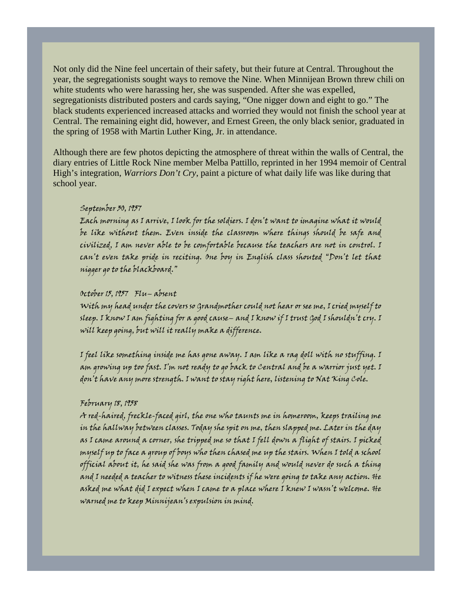Not only did the Nine feel uncertain of their safety, but their future at Central. Throughout the year, the segregationists sought ways to remove the Nine. When Minnijean Brown threw chili on white students who were harassing her, she was suspended. After she was expelled, segregationists distributed posters and cards saying, "One nigger down and eight to go." The black students experienced increased attacks and worried they would not finish the school year at Central. The remaining eight did, however, and Ernest Green, the only black senior, graduated in the spring of 1958 with Martin Luther King, Jr. in attendance.

Although there are few photos depicting the atmosphere of threat within the walls of Central, the diary entries of Little Rock Nine member Melba Pattillo, reprinted in her 1994 memoir of Central High's integration, *Warriors Don't Cry*, paint a picture of what daily life was like during that school year.

#### September 30, 1957

Each morning as I arrive, I look for the soldiers. I don't want to imagine what it would be like without them. Even inside the classroom where things should be safe and civilized, I am never able to be comfortable because the teachers are not in control. I can't even take pride in reciting. One boy in English class shouted "Don't let that nigger go to the blackboard."

#### October 15, 1957 Flu– absent

With my head under the covers so Grandmother could not hear or see me, I cried myself to sleep. I know I am fighting for a good cause– and I know if I trust God I shouldn't cry. I will keep going, but will it really make a difference.

I feel like something inside me has gone away. I am like a rag doll with no stuffing. I am growing up too fast. I'm not ready to go back to Central and be a warrior just yet. I don't have any more strength. I want to stay right here, listening to Nat King Cole.

#### February 18, 1958

A red-haired, freckle-faced girl, the one who taunts me in homeroom, keeps trailing me in the hallway between classes. Today she spit on me, then slapped me. Later in the day as I came around a corner, she tripped me so that I fell down a flight of stairs. I picked myself up to face a group of boys who then chased me up the stairs. When I told a school official about it, he said she was from a good family and would never do such a thing and I needed a teacher to witness these incidents if he were going to take any action. He asked me what did I expect when I came to a place where I knew I wasn't welcome. He warned me to keep Minnijean's expulsion in mind.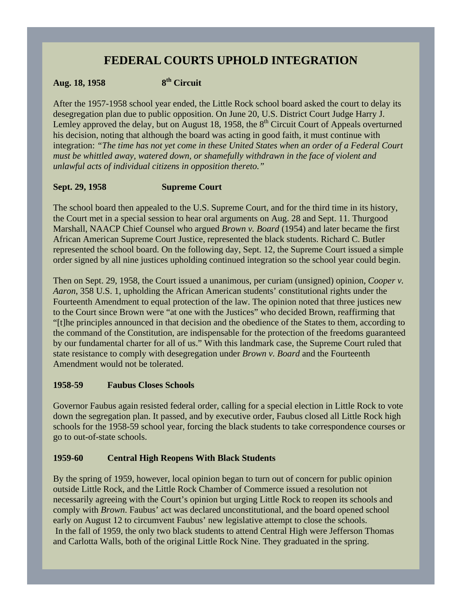# **FEDERAL COURTS UPHOLD INTEGRATION**

# **Aug. 18, 1958 8th Circuit**

After the 1957-1958 school year ended, the Little Rock school board asked the court to delay its desegregation plan due to public opposition. On June 20, U.S. District Court Judge Harry J. Lemley approved the delay, but on August 18, 1958, the  $8<sup>th</sup>$  Circuit Court of Appeals overturned his decision, noting that although the board was acting in good faith, it must continue with integration: *"The time has not yet come in these United States when an order of a Federal Court must be whittled away, watered down, or shamefully withdrawn in the face of violent and unlawful acts of individual citizens in opposition thereto."* 

## **Sept. 29, 1958 Supreme Court**

The school board then appealed to the U.S. Supreme Court, and for the third time in its history, the Court met in a special session to hear oral arguments on Aug. 28 and Sept. 11. Thurgood Marshall, NAACP Chief Counsel who argued *Brown v. Board* (1954) and later became the first African American Supreme Court Justice*,* represented the black students. Richard C. Butler represented the school board. On the following day, Sept. 12, the Supreme Court issued a simple order signed by all nine justices upholding continued integration so the school year could begin.

Then on Sept. 29, 1958, the Court issued a unanimous, per curiam (unsigned) opinion, *Cooper v. Aaron*, 358 U.S. 1, upholding the African American students' constitutional rights under the Fourteenth Amendment to equal protection of the law. The opinion noted that three justices new to the Court since Brown were "at one with the Justices" who decided Brown, reaffirming that "[t]he principles announced in that decision and the obedience of the States to them, according to the command of the Constitution, are indispensable for the protection of the freedoms guaranteed by our fundamental charter for all of us." With this landmark case, the Supreme Court ruled that state resistance to comply with desegregation under *Brown v. Board* and the Fourteenth Amendment would not be tolerated.

#### **1958-59 Faubus Closes Schools**

Governor Faubus again resisted federal order, calling for a special election in Little Rock to vote down the segregation plan. It passed, and by executive order, Faubus closed all Little Rock high schools for the 1958-59 school year, forcing the black students to take correspondence courses or go to out-of-state schools.

## **1959-60 Central High Reopens With Black Students**

By the spring of 1959, however, local opinion began to turn out of concern for public opinion outside Little Rock, and the Little Rock Chamber of Commerce issued a resolution not necessarily agreeing with the Court's opinion but urging Little Rock to reopen its schools and comply with *Brown*. Faubus' act was declared unconstitutional, and the board opened school early on August 12 to circumvent Faubus' new legislative attempt to close the schools. In the fall of 1959, the only two black students to attend Central High were Jefferson Thomas and Carlotta Walls, both of the original Little Rock Nine. They graduated in the spring.